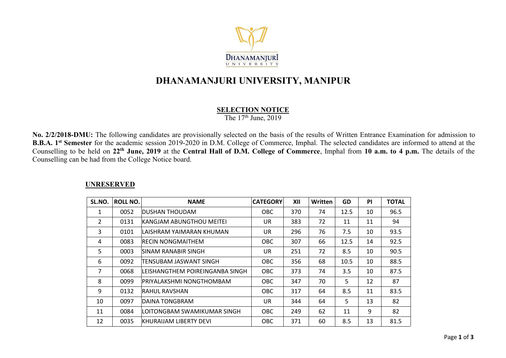

# **DHANAMANJURI UNIVERSITY, MANIPUR**

**SELECTION NOTICE**

The 17<sup>th</sup> June, 2019

**No. 2/2/2018-DMU:** The following candidates are provisionally selected on the basis of the results of Written Entrance Examination for admission to **B.B.A. 1 st Semester** for the academic session 2019-2020 in D.M. College of Commerce, Imphal. The selected candidates are informed to attend at the Counselling to be held on 22<sup>th</sup> June, 2019 at the Central Hall of D.M. College of Commerce, Imphal from 10 a.m. to 4 p.m. The details of the Counselling can be had from the College Notice board.

#### **UNRESERVED**

| SL.NO.         | ROLL NO. | <b>NAME</b>                      | <b>CATEGORY</b> | XII | <b>Written</b> | <b>GD</b> | <b>PI</b> | <b>TOTAL</b> |
|----------------|----------|----------------------------------|-----------------|-----|----------------|-----------|-----------|--------------|
| 1              | 0052     | IDUSHAN THOUDAM                  | OBC.            | 370 | 74             | 12.5      | 10        | 96.5         |
| $\overline{2}$ | 0131     | <b>IKANGJAM ABUNGTHOU MEITEI</b> | UR              | 383 | 72             | 11        | 11        | 94           |
| 3              | 0101     | ILAISHRAM YAIMARAN KHUMAN        | UR              | 296 | 76             | 7.5       | 10        | 93.5         |
| 4              | 0083     | <b>RECIN NONGMAITHEM</b>         | OBC.            | 307 | 66             | 12.5      | 14        | 92.5         |
| 5              | 0003     | ISINAM RANABIR SINGH             | UR              | 251 | 72             | 8.5       | 10        | 90.5         |
| 6              | 0092     | ITENSUBAM JASWANT SINGH          | OBC.            | 356 | 68             | 10.5      | 10        | 88.5         |
| 7              | 0068     | ILEISHANGTHEM POIREINGANBA SINGH | OBC             | 373 | 74             | 3.5       | 10        | 87.5         |
| 8              | 0099     | IPRIYALAKSHMI NONGTHOMBAM        | OBC.            | 347 | 70             | 5         | 12        | 87           |
| 9              | 0132     | IRAHUL RAVSHAN                   | OBC.            | 317 | 64             | 8.5       | 11        | 83.5         |
| 10             | 0097     | <b>DAINA TONGBRAM</b>            | UR.             | 344 | 64             | 5         | 13        | 82           |
| 11             | 0084     | ILOITONGBAM SWAMIKUMAR SINGH     | OBC.            | 249 | 62             | 11        | 9         | 82           |
| 12             | 0035     | KHURAIJAM LIBERTY DEVI           | <b>OBC</b>      | 371 | 60             | 8.5       | 13        | 81.5         |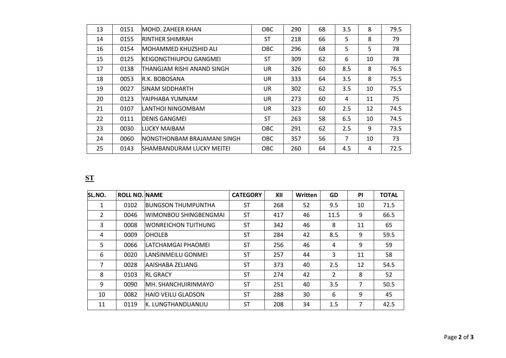| 13 | 0151 | IMOHD. ZAHEER KHAN                | <b>OBC</b> | 290 | 68 | 3.5 | 8  | 79.5 |
|----|------|-----------------------------------|------------|-----|----|-----|----|------|
| 14 | 0155 | <b>RINTHER SHIMRAH</b>            | <b>ST</b>  | 218 | 66 | 5   | 8  | 79   |
| 16 | 0154 | IMOHAMMED KHUZSHID ALI            | OBC        | 296 | 68 | 5   | 5. | 78   |
| 15 | 0125 | <b>IKEIGONGTHIUPOU GANGMEI</b>    | <b>ST</b>  | 309 | 62 | 6   | 10 | 78   |
| 17 | 0138 | ITHANGJAM RISHI ANAND SINGH       | UR         | 326 | 60 | 8.5 | 8  | 76.5 |
| 18 | 0053 | <b>R.K. BOBOSANA</b>              | UR         | 333 | 64 | 3.5 | 8  | 75.5 |
| 19 | 0027 | ISINAM SIDDHARTH                  | UR.        | 302 | 62 | 3.5 | 10 | 75.5 |
| 20 | 0123 | YAIPHABA YUMNAM                   | UR         | 273 | 60 | 4   | 11 | 75   |
| 21 | 0107 | ILANTHOI NINGOMBAM                | UR         | 323 | 60 | 2.5 | 12 | 74.5 |
| 22 | 0111 | <b>IDENIS GANGMEI</b>             | <b>ST</b>  | 263 | 58 | 6.5 | 10 | 74.5 |
| 23 | 0030 | ILUCKY MAIBAM                     | OBC.       | 291 | 62 | 2.5 | 9  | 73.5 |
| 24 | 0060 | INONGTHONBAM BRAJAMANI SINGH      | OBC.       | 357 | 56 | 7   | 10 | 73   |
| 25 | 0143 | <b>ISHAMBANDURAM LUCKY MEITEI</b> | OBC        | 260 | 64 | 4.5 | 4  | 72.5 |

## **ST**

| SL.NO.         | <b>ROLL NO. NAME</b> |                            | <b>CATEGORY</b> | XII | Written | <b>GD</b>      | <b>PI</b> | <b>TOTAL</b> |
|----------------|----------------------|----------------------------|-----------------|-----|---------|----------------|-----------|--------------|
| 1              | 0102                 | <b>BUNGSON THUMPUNTHA</b>  | <b>ST</b>       | 268 | 52      | 9.5            | 10        | 71.5         |
| $\overline{2}$ | 0046                 | WIMONBOU SHINGBENGMAI      | <b>ST</b>       | 417 | 46      | 11.5           | 9         | 66.5         |
| 3              | 0008                 | <b>WONREICHON TUITHUNG</b> | <b>ST</b>       | 342 | 46      | 8              | 11        | 65           |
| 4              | 0009                 | <b>OHOLEB</b>              | <b>ST</b>       | 284 | 42      | 8.5            | 9         | 59.5         |
| 5.             | 0066                 | LATCHAMGAI PHAOMEI         | <b>ST</b>       | 256 | 46      | 4              | 9         | 59           |
| 6              | 0020                 | LANSINMEILU GONMEI         | <b>ST</b>       | 257 | 44      | 3              | 11        | 58           |
| 7              | 0028                 | AAISHABA ZELIANG           | <b>ST</b>       | 373 | 40      | 2.5            | 12        | 54.5         |
| 8              | 0103                 | <b>RL GRACY</b>            | <b>ST</b>       | 274 | 42      | $\overline{2}$ | 8         | 52           |
| 9              | 0090                 | IMH. SHANCHUIRINMAYO       | <b>ST</b>       | 251 | 40      | 3.5            | 7         | 50.5         |
| 10             | 0082                 | <b>HAIO VEILU GLADSON</b>  | <b>ST</b>       | 288 | 30      | 6              | 9         | 45           |
| 11             | 0119                 | K. LUNGTHANDUANLIU         | <b>ST</b>       | 208 | 34      | 1.5            | 7         | 42.5         |